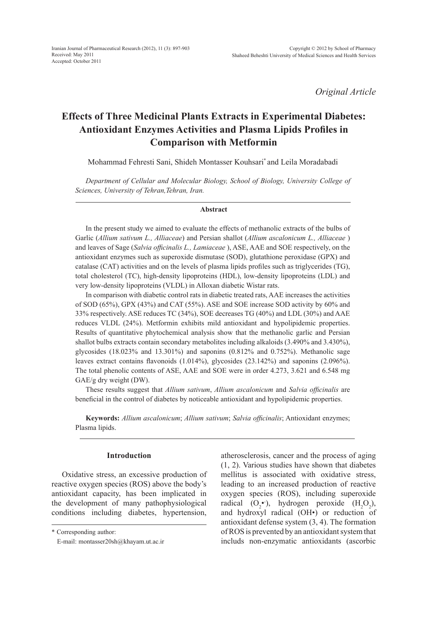*Original Article*

# **Effects of Three Medicinal Plants Extracts in Experimental Diabetes: Antioxidant Enzymes Activities and Plasma Lipids Profiles in Comparison with Metformin**

Mohammad Fehresti Sani, Shideh Montasser Kouhsari\* and Leila Moradabadi

*Department of Cellular and Molecular Biology, School of Biology, University College of Sciences, University of Tehran,Tehran, Iran.*

#### **Abstract**

In the present study we aimed to evaluate the effects of methanolic extracts of the bulbs of Garlic (*Allium sativum L., Alliaceae*) and Persian shallot (*Allium ascalonicum L., Alliaceae* ) and leaves of Sage (*Salvia officinalis L., Lamiaceae* ), ASE, AAE and SOE respectively, on the antioxidant enzymes such as superoxide dismutase (SOD), glutathione peroxidase (GPX) and catalase (CAT) activities and on the levels of plasma lipids profiles such as triglycerides (TG), total cholesterol (TC), high-density lipoproteins (HDL), low-density lipoproteins (LDL) and very low-density lipoproteins (VLDL) in Alloxan diabetic Wistar rats.

In comparison with diabetic control rats in diabetic treated rats, AAE increases the activities of SOD (65%), GPX (43%) and CAT (55%). ASE and SOE increase SOD activity by 60% and 33% respectively. ASE reduces TC (34%), SOE decreases TG (40%) and LDL (30%) and AAE reduces VLDL (24%). Metformin exhibits mild antioxidant and hypolipidemic properties. Results of quantitative phytochemical analysis show that the methanolic garlic and Persian shallot bulbs extracts contain secondary metabolites including alkaloids (3.490% and 3.430%), glycosides (18.023% and 13.301%) and saponins (0.812% and 0.752%). Methanolic sage leaves extract contains flavonoids (1.014%), glycosides (23.142%) and saponins (2.096%). The total phenolic contents of ASE, AAE and SOE were in order 4.273, 3.621 and 6.548 mg GAE/g dry weight (DW).

These results suggest that *Allium sativum*, *Allium ascalonicum* and *Salvia officinalis* are beneficial in the control of diabetes by noticeable antioxidant and hypolipidemic properties.

**Keywords:** *Allium ascalonicum*; *Allium sativum*; *Salvia officinalis*; Antioxidant enzymes; Plasma lipids.

## **Introduction**

Oxidative stress, an excessive production of reactive oxygen species (ROS) above the body's antioxidant capacity, has been implicated in the development of many pathophysiological conditions including diabetes, hypertension, atherosclerosis, cancer and the process of aging (1, 2). Various studies have shown that diabetes mellitus is associated with oxidative stress, leading to an increased production of reactive oxygen species (ROS), including superoxide radical  $(O_2^{\bullet})$ , hydrogen peroxide  $(H_2O_2)$ , and hydroxyl radical (OH•) or reduction of antioxidant defense system (3, 4). The formation of ROS is prevented by an antioxidant system that includs non-enzymatic antioxidants (ascorbic

<sup>\*</sup> Corresponding author:

E-mail: montasser20sh@khayam.ut.ac.ir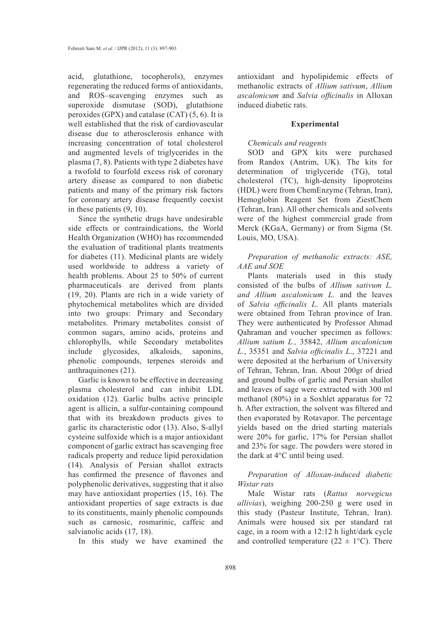acid, glutathione, tocopherols), enzymes regenerating the reduced forms of antioxidants, and ROS–scavenging enzymes such as superoxide dismutase (SOD), glutathione peroxides (GPX) and catalase (CAT) (5, 6). It is well established that the risk of cardiovascular disease due to atherosclerosis enhance with increasing concentration of total cholesterol and augmented levels of triglycerides in the plasma (7, 8). Patients with type 2 diabetes have a twofold to fourfold excess risk of coronary artery disease as compared to non diabetic patients and many of the primary risk factors for coronary artery disease frequently coexist in these patients (9, 10).

Since the synthetic drugs have undesirable side effects or contraindications, the World Health Organization (WHO) has recommended the evaluation of traditional plants treatments for diabetes (11). Medicinal plants are widely used worldwide to address a variety of health problems. About 25 to 50% of current pharmaceuticals are derived from plants (19, 20). Plants are rich in a wide variety of phytochemical metabolites which are divided into two groups: Primary and Secondary metabolites. Primary metabolites consist of common sugars, amino acids, proteins and chlorophylls, while Secondary metabolites include glycosides, alkaloids, saponins, phenolic compounds, terpenes steroids and anthraquinones (21).

Garlic is known to be effective in decreasing plasma cholesterol and can inhibit LDL oxidation (12). Garlic bulbs active principle agent is allicin, a sulfur-containing compound that with its breakdown products gives to garlic its characteristic odor (13). Also, S-allyl cysteine sulfoxide which is a major antioxidant component of garlic extract has scavenging free radicals property and reduce lipid peroxidation (14). Analysis of Persian shallot extracts has confirmed the presence of flavones and polyphenolic derivatives, suggesting that it also may have antioxidant properties (15, 16). The antioxidant properties of sage extracts is due to its constituents, mainly phenolic compounds such as carnosic, rosmarinic, caffeic and salvianolic acids (17, 18).

In this study we have examined the

antioxidant and hypolipidemic effects of methanolic extracts of *Allium sativum*, *Allium ascalonicum* and *Salvia officinalis* in Alloxan induced diabetic rats.

#### **Experimental**

#### *Chemicals and reagents*

SOD and GPX kits were purchased from Randox (Antrim, UK). The kits for determination of triglyceride (TG), total cholesterol (TC), high-density lipoproteins (HDL) were from ChemEnzyme (Tehran, Iran), Hemoglobin Reagent Set from ZiestChem (Tehran, Iran). All other chemicals and solvents were of the highest commercial grade from Merck (KGaA, Germany) or from Sigma (St. Louis, MO, USA).

## *Preparation of methanolic extracts: ASE, AAE and SOE*

Plants materials used in this study consisted of the bulbs of *Allium sativum L. and Allium ascalonicum L*. and the leaves of *Salvia officinalis L*. All plants materials were obtained from Tehran province of Iran. They were authenticated by Professor Ahmad Qahraman and voucher specimen as follows: *Allium satium L.,* 35842, *Allium ascalonicum L.*, 35351 and *Salvia officinalis L*., 37221 and were deposited at the herbarium of University of Tehran, Tehran, Iran. About 200gr of dried and ground bulbs of garlic and Persian shallot and leaves of sage were extracted with 300 ml methanol (80%) in a Soxhlet apparatus for 72 h. After extraction, the solvent was filtered and then evaporated by Rotavapor. The percentage yields based on the dried starting materials were 20% for garlic, 17% for Persian shallot and 23% for sage. The powders were stored in the dark at 4°C until being used.

# *Preparation of Alloxan-induced diabetic Wistar rats*

Male Wistar rats (*Rattus norvegicus allivias*), weighing 200-250 g were used in this study (Pasteur Institute, Tehran, Iran). Animals were housed six per standard rat cage, in a room with a 12:12 h light/dark cycle and controlled temperature ( $22 \pm 1$ °C). There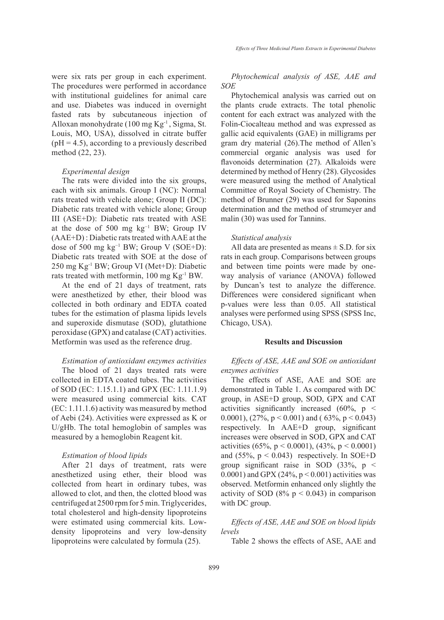were six rats per group in each experiment. The procedures were performed in accordance with institutional guidelines for animal care and use. Diabetes was induced in overnight fasted rats by subcutaneous injection of Alloxan monohydrate (100 mg Kg-1 , Sigma, St. Louis, MO, USA), dissolved in citrate buffer  $(pH = 4.5)$ , according to a previously described method (22, 23).

## *Experimental design*

The rats were divided into the six groups, each with six animals. Group I (NC): Normal rats treated with vehicle alone; Group II (DC): Diabetic rats treated with vehicle alone; Group III (ASE+D): Diabetic rats treated with ASE at the dose of 500 mg kg−1 BW; Group IV (AAE+D) : Diabetic rats treated with AAE at the dose of 500 mg kg−1 BW; Group V (SOE+D): Diabetic rats treated with SOE at the dose of 250 mg Kg-1 BW; Group VI (Met+D): Diabetic rats treated with metformin, 100 mg Kg-1 BW.

At the end of 21 days of treatment, rats were anesthetized by ether, their blood was collected in both ordinary and EDTA coated tubes for the estimation of plasma lipids levels and superoxide dismutase (SOD), glutathione peroxidase (GPX) and catalase (CAT) activities. Metformin was used as the reference drug.

## *Estimation of antioxidant enzymes activities*

The blood of 21 days treated rats were collected in EDTA coated tubes. The activities of SOD (EC: 1.15.1.1) and GPX (EC: 1.11.1.9) were measured using commercial kits. CAT (EC: 1.11.1.6) activity was measured by method of Aebi (24). Activities were expressed as K or U/gHb. The total hemoglobin of samples was measured by a hemoglobin Reagent kit.

## *Estimation of blood lipids*

After 21 days of treatment, rats were anesthetized using ether, their blood was collected from heart in ordinary tubes, was allowed to clot, and then, the clotted blood was centrifuged at 2500 rpm for 5 min. Triglycerides, total cholesterol and high-density lipoproteins were estimated using commercial kits. Lowdensity lipoproteins and very low-density lipoproteins were calculated by formula (25).

*Phytochemical analysis of ASE, AAE and SOE*

Phytochemical analysis was carried out on the plants crude extracts. The total phenolic content for each extract was analyzed with the Folin-Ciocalteau method and was expressed as gallic acid equivalents (GAE) in milligrams per gram dry material (26).The method of Allen's commercial organic analysis was used for flavonoids determination (27). Alkaloids were determined by method of Henry (28). Glycosides were measured using the method of Analytical Committee of Royal Society of Chemistry. The method of Brunner (29) was used for Saponins determination and the method of strumeyer and malin (30) was used for Tannins.

## *Statistical analysis*

All data are presented as means  $\pm$  S.D. for six rats in each group. Comparisons between groups and between time points were made by oneway analysis of variance (ANOVA) followed by Duncan's test to analyze the difference. Differences were considered significant when p-values were less than 0.05. All statistical analyses were performed using SPSS (SPSS Inc, Chicago, USA).

## **Results and Discussion**

*Effects of ASE, AAE and SOE on antioxidant enzymes activities*

The effects of ASE, AAE and SOE are demonstrated in Table 1. As compared with DC group, in ASE+D group, SOD, GPX and CAT activities significantly increased (60%,  $p \le$ 0.0001),  $(27\%, p < 0.001)$  and  $(63\%, p < 0.043)$ respectively. In AAE+D group, significant increases were observed in SOD, GPX and CAT activities (65%,  $p < 0.0001$ ), (43%,  $p < 0.0001$ ) and  $(55\%, p < 0.043)$  respectively. In SOE+D group significant raise in SOD  $(33\%, p <$ 0.0001) and GPX (24%,  $p < 0.001$ ) activities was observed. Metformin enhanced only slightly the activity of SOD (8%  $p < 0.043$ ) in comparison with DC group.

*Effects of ASE, AAE and SOE on blood lipids levels*

Table 2 shows the effects of ASE, AAE and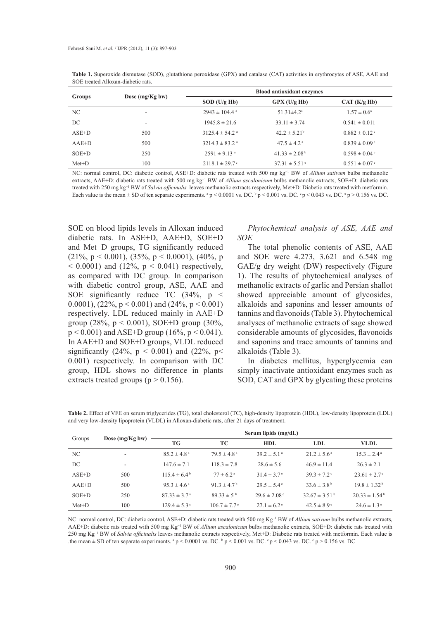| Groups  |                    | <b>Blood antioxidant enzymes</b> |                               |                               |  |
|---------|--------------------|----------------------------------|-------------------------------|-------------------------------|--|
|         | Dose $(mg/Kg)$ bw) | $SOD$ (U/g Hb)                   | GPX (U/g Hb)                  | CAT(K/g Hb)                   |  |
| NC.     | ۰                  | $2943 \pm 104.4$ <sup>a</sup>    | $51.31 \pm 4.2$ <sup>a</sup>  | $1.57 \pm 0.6^{\circ}$        |  |
| DC      |                    | $1945.8 \pm 21.6$                | $33.11 \pm 3.74$              | $0.541 \pm 0.011$             |  |
| $ASE+D$ | 500                | $3125.4 \pm 54.2$ <sup>a</sup>   | $42.2 \pm 5.21^b$             | $0.882 \pm 0.12$ °            |  |
| $AAE+D$ | 500                | $3214.3 \pm 83.2$ <sup>a</sup>   | $47.5 \pm 4.2$ <sup>a</sup>   | $0.839 \pm 0.09$ °            |  |
| $SOE+D$ | 250                | $2591 \pm 9.13$ <sup>a</sup>     | $41.33 \pm 2.08^{\mathrm{b}}$ | $0.598 \pm 0.04$ <sup>e</sup> |  |
| $Met+D$ | 100                | $2118.1 \pm 29.7$ °              | $37.31 \pm 5.51$ <sup>e</sup> | $0.551 \pm 0.07$ <sup>e</sup> |  |

**Table 1.** Superoxide dismutase (SOD), glutathione peroxidase (GPX) and catalase (CAT) activities in erythrocytes of ASE, AAE and SOE treated Alloxan-diabetic rats.

NC: normal control, DC: diabetic control, ASE+D: diabetic rats treated with 500 mg kg−1 BW of *Allium sativum* bulbs methanolic extracts, AAE+D: diabetic rats treated with 500 mg kg<sup>-1</sup> BW of *Allium ascalonicum* bulbs methanolic extracts, SOE+D: diabetic rats treated with 250 mg kg−1 BW of *Salvia officinalis* leaves methanolic extracts respectively, Met+D: Diabetic rats treated with metformin. Each value is the mean  $\pm$  SD of ten separate experiments.  $^{a}p < 0.0001$  vs. DC.  $^{b}p < 0.001$  vs. DC.  $^{c}p < 0.043$  vs. DC.  $^{e}p > 0.156$  vs. DC.

SOE on blood lipids levels in Alloxan induced diabetic rats. In ASE+D, AAE+D, SOE+D and Met+D groups, TG significantly reduced (21%,  $p < 0.001$ ), (35%,  $p < 0.0001$ ), (40%, p  $(0.0001)$  and  $(12\%, p < 0.041)$  respectively, as compared with DC group. In comparison with diabetic control group, ASE, AAE and SOE significantly reduce TC (34%, p < 0.0001),  $(22\%, p < 0.001)$  and  $(24\%, p < 0.001)$ respectively. LDL reduced mainly in AAE+D group (28%,  $p < 0.001$ ), SOE+D group (30%,  $p < 0.001$ ) and ASE+D group (16%,  $p < 0.041$ ). In AAE+D and SOE+D groups, VLDL reduced significantly (24%,  $p < 0.001$ ) and (22%,  $p <$ 0.001) respectively. In comparison with DC group, HDL shows no difference in plants extracts treated groups ( $p > 0.156$ ).

# *Phytochemical analysis of ASE, AAE and SOE*

The total phenolic contents of ASE, AAE and SOE were 4.273, 3.621 and 6.548 mg GAE/g dry weight (DW) respectively (Figure 1). The results of phytochemical analyses of methanolic extracts of garlic and Persian shallot showed appreciable amount of glycosides, alkaloids and saponins and lesser amounts of tannins and flavonoids (Table 3). Phytochemical analyses of methanolic extracts of sage showed considerable amounts of glycosides, flavonoids and saponins and trace amounts of tannins and alkaloids (Table 3).

In diabetes mellitus, hyperglycemia can simply inactivate antioxidant enzymes such as SOD, CAT and GPX by glycating these proteins

**Table 2.** Effect of VFE on serum triglycerides (TG), total cholesterol (TC), high-density lipoprotein (HDL), low-density lipoprotein (LDL) and very low-density lipoprotein (VLDL) in Alloxan-diabetic rats, after 21 days of treatment.

|         | Dose (mg/Kg bw)          | Serum lipids (mg/dL)    |                              |                              |                               |                              |
|---------|--------------------------|-------------------------|------------------------------|------------------------------|-------------------------------|------------------------------|
| Groups  |                          | TG                      | TC.                          | HDL.                         | LDL.                          | VLDL.                        |
| NC.     | ٠                        | $85.2 \pm 4.8^{\circ}$  | $79.5 \pm 4.8^{\text{a}}$    | $39.2 \pm 5.1^{\circ}$       | $21.2 \pm 5.6^{\circ}$        | $15.3 \pm 2.4^{\circ}$       |
| DC      | $\overline{\phantom{a}}$ | $147.6 \pm 7.1$         | $118.3 \pm 7.8$              | $28.6 \pm 5.6$               | $46.9 \pm 11.4$               | $26.3 \pm 2.1$               |
| $ASE+D$ | 500                      | $115.4 \pm 6.4^{\circ}$ | $77 \pm 6.2^{\text{a}}$      | $31.4 \pm 3.7$ <sup>e</sup>  | $39.3 \pm 7.2$                | $23.61 \pm 2.7$ <sup>e</sup> |
| $AAE+D$ | 500                      | $95.3 \pm 4.6^{\circ}$  | $91.3 \pm 4.7^{\circ}$       | $29.5 \pm 5.4^{\circ}$       | $33.6 \pm 3.8^{\circ}$        | $19.8 \pm 1.32^{\mathrm{b}}$ |
| $SOE+D$ | 250                      | $87.33 \pm 3.7^{\circ}$ | $89.33 \pm 5^{b}$            | $29.6 \pm 2.08$ <sup>e</sup> | $32.67 \pm 3.51^{\mathrm{b}}$ | $20.33 \pm 1.54^{\circ}$     |
| $Met+D$ | 100                      | $129.4 \pm 5.3^{\circ}$ | $106.7 \pm 7.7$ <sup>e</sup> | $27.1 \pm 6.2$ <sup>e</sup>  | $42.5 \pm 8.9^{\circ}$        | $24.6 \pm 1.3^{\circ}$       |

NC: normal control, DC: diabetic control, ASE+D: diabetic rats treated with 500 mg Kg−1 BW of *Allium sativum* bulbs methanolic extracts, AAE+D: diabetic rats treated with 500 mg Kg−1 BW of *Allium ascalonicum* bulbs methanolic extracts, SOE+D: diabetic rats treated with 250 mg Kg−1 BW of *Salvia officinalis* leaves methanolic extracts respectively, Met+D: Diabetic rats treated with metformin. Each value is the mean  $\pm$  SD of ten separate experiments.  $^{a}$  p < 0.0001 vs. DC.  $^{b}$  p < 0.001 vs. DC.  $^{c}$  p < 0.043 vs. DC.  $^{e}$  p > 0.156 vs. DC.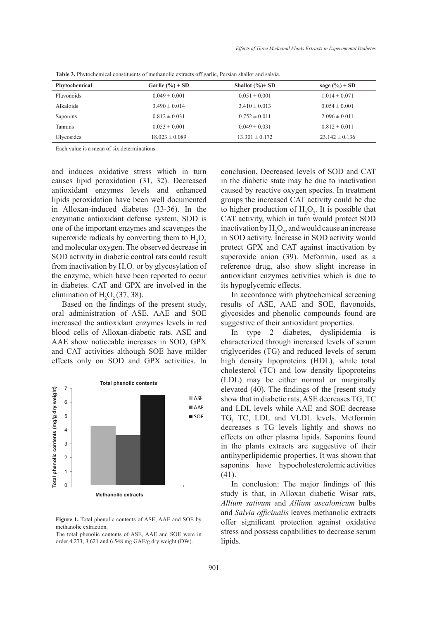| Phytochemical | Garlic $(\%)+SD$   | Shallot $(\%)+SD$  | sage $(\%)+SD$     |
|---------------|--------------------|--------------------|--------------------|
| Flavonoids    | $0.049 \pm 0.001$  | $0.051 \pm 0.001$  | $1.014 \pm 0.071$  |
| Alkaloids     | $3.490 \pm 0.014$  | $3.410 \pm 0.013$  | $0.054 \pm 0.001$  |
| Saponins      | $0.812 \pm 0.031$  | $0.752 \pm 0.011$  | $2.096 \pm 0.011$  |
| Tannins       | $0.053 \pm 0.001$  | $0.049 \pm 0.031$  | $0.812 \pm 0.011$  |
| Glycosides    | $18.023 \pm 0.089$ | $13.301 \pm 0.172$ | $23.142 \pm 0.136$ |

**Table 3.** Phytochemical constituents of methanolic extracts off garlic, Persian shallot and salvia.

Each value is a mean of six determinations.

and induces oxidative stress which in turn causes lipid peroxidation (31, 32). Decreased antioxidant enzymes levels and enhanced lipids peroxidation have been well documented in Alloxan-induced diabetes (33-36). In the enzymatic antioxidant defense system, SOD is one of the important enzymes and scavenges the superoxide radicals by converting them to  $H_2O_2$ and molecular oxygen. The observed decrease in SOD activity in diabetic control rats could result from inactivation by  $H_2O_2$  or by glycosylation of the enzyme, which have been reported to occur in diabetes. CAT and GPX are involved in the elimination of  $H_2O_2(37, 38)$ .

Based on the findings of the present study, oral administration of ASE, AAE and SOE increased the antioxidant enzymes levels in red blood cells of Alloxan-diabetic rats. ASE and AAE show noticeable increases in SOD, GPX and CAT activities although SOE have milder effects only on SOD and GPX activities. In



**Figure 1.** Total phenolic contents of ASE, AAE and SOE by methanolic extraction.

The total phenolic contents of ASE, AAE and SOE were in order 4.273, 3.621 and 6.548 mg GAE/g dry weight (DW).

conclusion, Decreased levels of SOD and CAT in the diabetic state may be due to inactivation caused by reactive oxygen species. In treatment groups the increased CAT activity could be due to higher production of  $H_2O_2$ . It is possible that CAT activity, which in turn would protect SOD inactivation by  $H_2O_2$ , and would cause an increase in SOD activity. Increase in SOD activity would protect GPX and CAT against inactivation by superoxide anion (39). Meformin, used as a reference drug, also show slight increase in antioxidant enzymes activities which is due to its hypoglycemic effects.

In accordance with phytochemical screening results of ASE, AAE and SOE, flavonoids, glycosides and phenolic compounds found are suggestive of their antioxidant properties.

In type 2 diabetes, dyslipidemia is characterized through increased levels of serum triglycerides (TG) and reduced levels of serum high density lipoproteins (HDL), while total cholesterol (TC) and low density lipoproteins (LDL) may be either normal or marginally elevated (40). The findings of the [resent study show that in diabetic rats, ASE decreases TG, TC and LDL levels while AAE and SOE decrease TG, TC, LDL and VLDL levels. Metformin decreases s TG levels lightly and shows no effects on other plasma lipids. Saponins found in the plants extracts are suggestive of their antihyperlipidemic properties. It was shown that saponins have hypocholesterolemic activities (41).

In conclusion: The major findings of this study is that, in Alloxan diabetic Wisar rats, *Allium sativum* and *Allium ascalonicum* bulbs and *Salvia officinalis* leaves methanolic extracts offer significant protection against oxidative stress and possess capabilities to decrease serum lipids.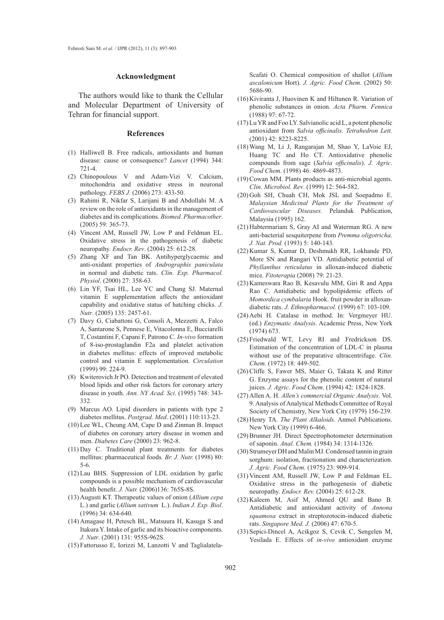#### **Acknowledgment**

The authors would like to thank the Cellular and Molecular Department of University of Tehran for financial support.

#### **References**

- (1) Halliwell B. Free radicals, antioxidants and human disease: cause or consequence? *Lancet* (1994) 344: 721-4.
- Chinopoulous V and Adam-Vizi V. Calcium, (2) mitochondria and oxidative stress in neuronal pathology. *FEBS J.* (2006) 273: 433-50.
- Rahimi R, Nikfar S, Larijani B and Abdollahi M. A (3) review on the role of antioxidants in the management of diabetes and its complications. *Biomed. Pharmacother*. (2005) 59: 365-73.
- (4) Vincent AM, Russell JW, Low P and Feldman EL. Oxidative stress in the pathogenesis of diabetic neuropathy. *Endocr. Rev*. (2004) 25: 612-28.
- Zhang XF and Tan BK. Antihyperglycaemic and (5) anti-oxidant properties of *Andrographis paniculata* in normal and diabetic rats. *Clin. Exp. Pharmacol. Physiol*. (2000) 27: 358-63.
- (6) Lin YF, Tsai HL, Lee YC and Chang SJ. Maternal vitamin E supplementation affects the antioxidant capability and oxidative status of hatching chicks. *J. Nutr*. (2005) 135: 2457-61.
- Davy G, Ciabattoni G, Consoli A, Mezzetti A, Falco (7) A, Santarone S, Pennese E, Vitacolonna E, Bucciarelli T, Costantini F, Capani F, Patrono C. *In-vivo* formation of 8-iso-prostaglandin F2a and platelet activation in diabetes mellitus: effects of improved metabolic control and vitamin E supplementation. *Circulation* (1999) 99: 224-9.
- (8) Kwiterovich Jr PO. Detection and treatment of elevated blood lipids and other risk factors for coronary artery disease in youth. *Ann. NY Acad. Sci*. (1995) 748: 343- 332.
- (9) Marcus AO. Lipid disorders in patients with type 2 diabetes mellitus. *Postgrad. Med*. (2001) 110:113-23.
- (10) Lee WL, Cheung AM, Cape D and Zinman B. Impact of diabetes on coronary artery disease in women and men. *Diabetes Care* (2000) 23: 962-8.
- $(11)$  Day C. Traditional plant treatments for diabetes mellitus: pharmaceutical foods*. Br. J. Nutr.* (1998) 80: 5-6.
- (12) Lau BHS. Suppression of LDL oxidation by garlic compounds is a possible mechanism of cardiovascular health benefit. *J. Nutr.* (2006)136: 765S-8S.
- (13) Augusti KT. Therapeutic values of onion (*Allium cepa* L.) and garlic (*Allium sativum* L.). *Indian J. Exp. Biol*. (1996) 34: 634-640.
- Amagase H, Petesch BL, Matsuura H, Kasuga S and (14) Itakura Y. Intake of garlic and its bioactive components*. J. Nutr*. (2001) 131: 955S-962S.
- Fattorusso E, Iorizzi M, Lanzotti V and Taglialatela- (15)

Scafati O. Chemical composition of shallot (*Allium ascalonicum* Hort). *J. Agric. Food Chem*. (2002) 50: 5686-90.

- $(16)$  Kiviranta J, Huovinen K and Hiltunen R. Variation of phenolic substances in onion. *Acta Pharm. Fennica* (1988) 97: 67-72.
- $(17)$  Lu YR and Foo LY. Salvianolic acid L, a potent phenolic antioxidant from *Salvia officinalis*. *Tetrahedron Lett.* (2001) 42: 8223-8225.
- Wang M, Li J, Rangarajan M, Shao Y, LaVoie EJ, (18) Huang TC and Ho CT. Antioxidative phenolic compounds from sage (*Salvia officinalis*). *J. Agric. Food Chem.* (1998) 46: 4869-4873.
- $(19)$  Cowan MM. Plants products as anti-microbial agents. *Clin. Microbiol. Rev*. (1999) 12: 564-582.
- $(20)$  Goh SH, Chuah CH, Mok JSL and Soepadmo E. *Malaysian Medicinal Plants for the Treatment of Cardiovascular Diseases.* Pelanduk Publication, Malaysia (1995) 162.
- $(21)$  Habtermariam S, Gray AI and Waterman RG. A new anti-bacterial sesquiterpene from *Premma oligotricha*. *J. Nat. Prod.* (1993) 5: 140-143.
- (22) Kumar S, Kumar D, Deshmukh RR, Lokhande PD, More SN and Rangari VD. Antidiabetic potential of *Phyllanthus reticulatus* in alloxan-induced diabetic mice. *Fitoterapia* (2008) 79: 21-23.
- (23) Kameswara Rao B, Kesavulu MM, Giri R and Appa Rao C. Antidiabetic and hypolipidemic effects of *Momordica cymbalaria* Hook. fruit powder in alloxandiabetic rats. *J. Ethnopharmacol.* (1999) 67: 103-109.
- (24) Aebi H. Catalase in method. In: Vergmeyer HU. (ed.) *Enzymatic Analysis*. Academic Press, New York (1974) 673.
- (25) Friedwald WT, Levy RI and Fredrickson DS. Estimation of the concentration of LDL-C in plasma without use of the preparative ultracentrifuge. *Clin. Chem.* (1972) 18: 449-502.
- $(26)$  Cliffe S, Fawer MS, Maier G, Takata K and Ritter G. Enzyme assays for the phenolic content of natural juices. *J. Agric. Food Chem*. (1994) 42: 1824-1828.
- (27) Allen A. H. Allen's commercial Organic Analysis. Vol. 9. Analysis of Analytical Methods Committee of Royal Society of Chemistry, New York City (1979) 156-239.
- (28) Henry TA. The Plant Alkaloids. Anmol Publications. New York City (1999) 6-466.
- (29) Brunner JH. Direct Spectrophotometer determination of saponin. *Anal. Chem.* (1984) 34: 1314-1326.
- (30) Strumeyer DH and Malin MJ. Condensed tannin in grain sorghum: isolation, fractionation and characterization. *J. Agric. Food Chem*. (1975) 23: 909-914.
- $(31)$  Vincent AM, Russell JW, Low P and Feldman EL. Oxidative stress in the pathogenesis of diabetic neuropathy. *Endocr. Rev.* (2004) 25: 612-28.
- $(32)$  Kaleem M, Asif M, Ahmed QU and Bano B. Antidiabetic and antioxidant activity of *Annona squamosa* extract in streptozotocin-induced diabetic rats. *Singapore Med. J.* (2006) 47: 670-5.
- (33) Sepici-Dincel A, Acikgoz S, Cevik C, Sengelen M, Yesilada E. Effects of *in-vivo* antioxidant enzyme